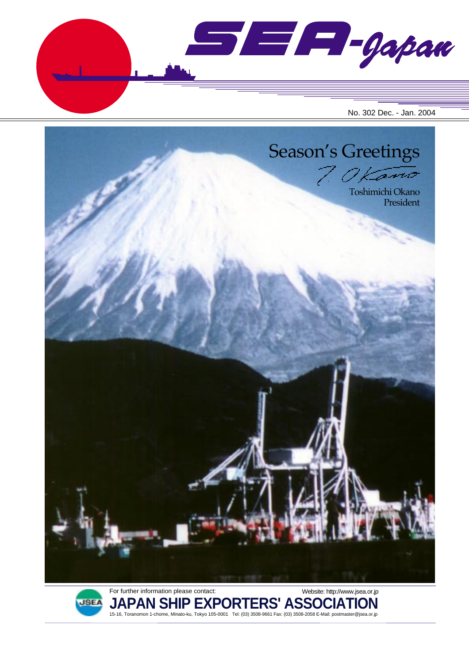SEA-gapan No. 302 Dec. - Jan. 2004





For further information please contact: **JAPAN SHIP EXPORTERS' ASSOCIATION** 15-16, Toranomon 1-chome, Minato-ku, Tokyo 105-0001 Tel: (03) 3508-9661 Fax: (03) 3508-2058 E-Mail: postmaster@jsea.or.jp Website: http://www.jsea.or.jp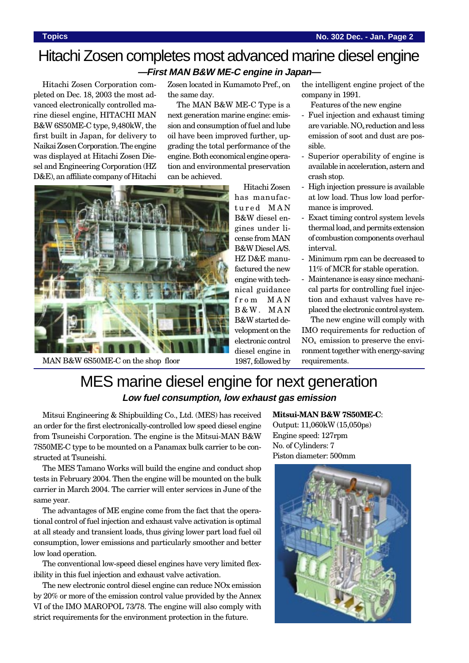## Hitachi Zosen completes most advanced marine diesel engine **—First MAN B&W ME-C engine in Japan—**

Hitachi Zosen Corporation completed on Dec. 18, 2003 the most advanced electronically controlled marine diesel engine, HITACHI MAN B&W 6S50ME-C type, 9,480kW, the first built in Japan, for delivery to Naikai Zosen Corporation. The engine was displayed at Hitachi Zosen Diesel and Engineering Corporation (HZ D&E), an affiliate company of Hitachi

Zosen located in Kumamoto Pref., on the same day.

The MAN B&W ME-C Type is a next generation marine engine: emission and consumption of fuel and lube oil have been improved further, upgrading the total performance of the engine. Both economical engine operation and environmental preservation can be achieved.



MAN B&W 6S50ME-C on the shop floor

Hitachi Zosen has manufactured MAN B&W diesel engines under license from MAN B&W Diesel A/S. HZ D&E manufactured the new engine with technical guidance from MAN B&W. MAN B&W started development on the electronic control diesel engine in 1987, followed by

the intelligent engine project of the company in 1991.

- Features of the new engine
- Fuel injection and exhaust timing are variable. NO<sub>x</sub> reduction and less emission of soot and dust are possible.
- Superior operability of engine is available in acceleration, astern and crash stop.
- High injection pressure is available at low load. Thus low load performance is improved.
- Exact timing control system levels thermal load, and permits extension of combustion components overhaul interval.
- Minimum rpm can be decreased to 11% of MCR for stable operation.
	- Maintenance is easy since mechanical parts for controlling fuel injection and exhaust valves have replaced the electronic control system.

The new engine will comply with IMO requirements for reduction of  $NO<sub>x</sub>$  emission to preserve the environment together with energy-saving requirements.

# MES marine diesel engine for next generation **Low fuel consumption, low exhaust gas emission**

Mitsui Engineering & Shipbuilding Co., Ltd. (MES) has received an order for the first electronically-controlled low speed diesel engine from Tsuneishi Corporation. The engine is the Mitsui-MAN B&W 7S50ME-C type to be mounted on a Panamax bulk carrier to be constructed at Tsuneishi.

The MES Tamano Works will build the engine and conduct shop tests in February 2004. Then the engine will be mounted on the bulk carrier in March 2004. The carrier will enter services in June of the same year.

The advantages of ME engine come from the fact that the operational control of fuel injection and exhaust valve activation is optimal at all steady and transient loads, thus giving lower part load fuel oil consumption, lower emissions and particularly smoother and better low load operation.

The conventional low-speed diesel engines have very limited flexibility in this fuel injection and exhaust valve activation.

The new electronic control diesel engine can reduce NOx emission by 20% or more of the emission control value provided by the Annex VI of the IMO MAROPOL 73/78. The engine will also comply with strict requirements for the environment protection in the future.

### **Mitsui-MAN B&W 7S50ME-C**:

Output: 11,060kW (15,050ps) Engine speed: 127rpm No. of Cylinders: 7 Piston diameter: 500mm

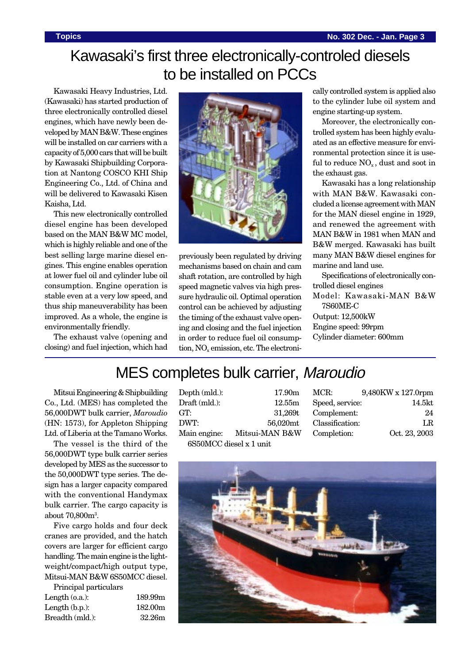# Kawasaki's first three electronically-controled diesels to be installed on PCCs

Kawasaki Heavy Industries, Ltd. (Kawasaki) has started production of three electronically controlled diesel engines, which have newly been developed by MAN B&W. These engines will be installed on car carriers with a capacity of 5,000 cars that will be built by Kawasaki Shipbuilding Corporation at Nantong COSCO KHI Ship Engineering Co., Ltd. of China and will be delivered to Kawasaki Kisen Kaisha, Ltd.

This new electronically controlled diesel engine has been developed based on the MAN B&W MC model, which is highly reliable and one of the best selling large marine diesel engines. This engine enables operation at lower fuel oil and cylinder lube oil consumption. Engine operation is stable even at a very low speed, and thus ship maneuverability has been improved. As a whole, the engine is environmentally friendly.

The exhaust valve (opening and closing) and fuel injection, which had



previously been regulated by driving mechanisms based on chain and cam shaft rotation, are controlled by high speed magnetic valves via high pressure hydraulic oil. Optimal operation control can be achieved by adjusting the timing of the exhaust valve opening and closing and the fuel injection in order to reduce fuel oil consumption,  $NO<sub>x</sub>$  emission, etc. The electronically controlled system is applied also to the cylinder lube oil system and engine starting-up system.

Moreover, the electronically controlled system has been highly evaluated as an effective measure for environmental protection since it is useful to reduce  $NO<sub>x</sub>$ , dust and soot in the exhaust gas.

Kawasaki has a long relationship with MAN B&W. Kawasaki concluded a license agreement with MAN for the MAN diesel engine in 1929, and renewed the agreement with MAN B&W in 1981 when MAN and B&W merged. Kawasaki has built many MAN B&W diesel engines for marine and land use.

Specifications of electronically controlled diesel engines

Model: Kawasaki-MAN B&W 7S60ME-C

Output: 12,500kW Engine speed: 99rpm Cylinder diameter: 600mm

# MES completes bulk carrier, Maroudio

Mitsui Engineering & Shipbuilding Co., Ltd. (MES) has completed the 56,000DWT bulk carrier, *Maroudio* (HN: 1573), for Appleton Shipping Ltd. of Liberia at the Tamano Works.

The vessel is the third of the 56,000DWT type bulk carrier series developed by MES as the successor to the 50,000DWT type series. The design has a larger capacity compared with the conventional Handymax bulk carrier. The cargo capacity is about 70,800m3 .

Five cargo holds and four deck cranes are provided, and the hatch covers are larger for efficient cargo handling. The main engine is the lightweight/compact/high output type, Mitsui-MAN B&W 6S50MCC diesel.

| Principal particulars |         |
|-----------------------|---------|
| Length $(0.a.)$ :     | 189.99m |
| Length $(b.p.):$      | 182.00m |
| Breadth (mld.):       | 32.26m  |
|                       |         |

Depth (mld.): 17.90m Draft (mld.): 12.55m GT: 31,269t DWT: 56,020mt Main engine: Mitsui-MAN B&W 6S50MCC diesel x 1 unit

MCR: 9,480KW x 127.0rpm Speed, service: 14.5kt Complement: 24 Classification: LR Completion: Oct. 23, 2003

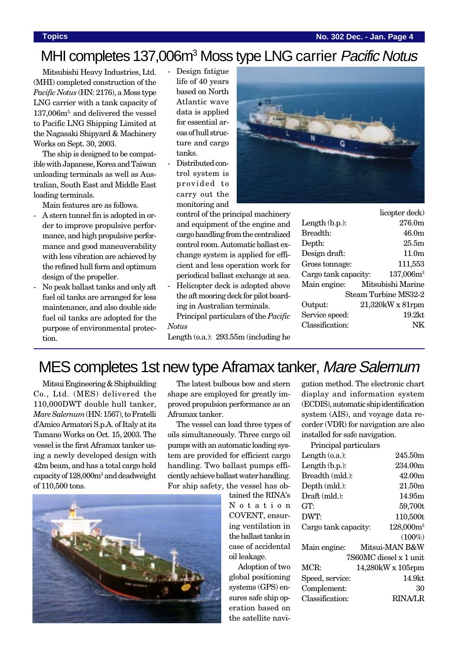### **Topics No. 302 Dec. - Jan. Page 4**

# MHI completes 137,006m<sup>3</sup> Moss type LNG carrier Pacific Notus

Mitsubishi Heavy Industries, Ltd. (MHI) completed construction of the *Pacific Notus* (HN: 2176), a Moss type LNG carrier with a tank capacity of 137,006m3, and delivered the vessel to Pacific LNG Shipping Limited at the Nagasaki Shipyard & Machinery Works on Sept. 30, 2003.

The ship is designed to be compatible with Japanese, Korea and Taiwan unloading terminals as well as Australian, South East and Middle East loading terminals.

Main features are as follows.

- A stern tunnel fin is adopted in order to improve propulsive performance, and high propulsive performance and good maneuverability with less vibration are achieved by the refined hull form and optimum design of the propeller.
- No peak ballast tanks and only aft fuel oil tanks are arranged for less maintenance, and also double side fuel oil tanks are adopted for the purpose of environmental protection.
- Design fatigue life of 40 years based on North Atlantic wave data is applied for essential areas of hull structure and cargo tanks.
- Distributed control system is provided to carry out the monitoring and



cargo handling from the centralized control room. Automatic ballast exchange system is applied for efficient and less operation work for periodical ballast exchange at sea.

Helicopter deck is adopted above the aft mooring deck for pilot boarding in Australian terminals. Principal particulars of the *Pacific*

*Notus*

Length (o.a.): 293.55m (including he

|                      | licopter deck)      |
|----------------------|---------------------|
| Length $(b.p.):$     | 276.0m              |
| Breadth:             | 46.0m               |
| Depth:               | 25.5m               |
| Design draft:        | 11.0 <sub>m</sub>   |
| Gross tonnage:       | 111,553             |
| Cargo tank capacity: | $137,006m^3$        |
| Main engine:         | Mitsubishi Marine   |
| Steam Turbine MS32-2 |                     |
| Output:              | $21,320$ kW x 81rpm |
| Service speed:       | 19.2 <sub>kt</sub>  |
| Classification:      |                     |

# MES completes 1st new type Aframax tanker, Mare Salernum

Mitsui Engineering & Shipbuilding Co., Ltd. (MES) delivered the 110,000DWT double hull tanker, *Mare Salernum* (HN: 1567), to Fratelli d'Amico Armatori S.p.A. of Italy at its Tamano Works on Oct. 15, 2003. The vessel is the first Aframax tanker using a newly developed design with 42m beam, and has a total cargo hold capacity of 128,000m3 and deadweight of 110,500 tons.

The latest bulbous bow and stern shape are employed for greatly improved propulsion performance as an Aframax tanker.

The vessel can load three types of oils simultaneously. Three cargo oil pumps with an automatic loading system are provided for efficient cargo handling. Two ballast pumps efficiently achieve ballast water handling. For ship safety, the vessel has ob-

tained the RINA's Notation COVENT, ensuring ventilation in the ballast tanks in case of accidental oil leakage.

Adoption of two global positioning systems (GPS) ensures safe ship operation based on the satellite navigation method. The electronic chart display and information system (ECDIS), automatic ship identification system (AIS), and voyage data recorder (VDR) for navigation are also installed for safe navigation.

Principal particulars

| Length $(0.a.)$ :    | 245.50m                |
|----------------------|------------------------|
| Length $(b.p.):$     | 234.00m                |
| Breadth (mld.):      | 42.00m                 |
| Depth (mld.):        | 21.50m                 |
| Draft (mld.):        | 14.95m                 |
| GT:                  | 59,700t                |
| DWT:                 | 110,500t               |
| Cargo tank capacity: | $128,000m^3$           |
|                      | $(100\%)$              |
| Main engine:         | Mitsui-MAN B&W         |
|                      | 7S60MC diesel x 1 unit |
| MCR:                 | 14,280kW x 105rpm      |
| Speed, service:      | 14.9kt                 |
| Complement:          | 30                     |
| Classification:      | RINA/LR                |
|                      |                        |

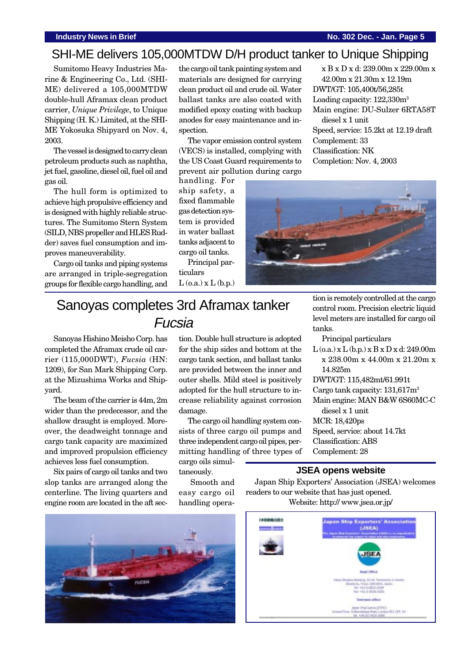### **Industry News in Brief No. 302 Dec. - Jan. Page 5**

## SHI-ME delivers 105,000MTDW D/H product tanker to Unique Shipping

Sumitomo Heavy Industries Marine & Engineering Co., Ltd. (SHI-ME) delivered a 105,000MTDW double-hull Aframax clean product carrier, *Unique Privilege*, to Unique Shipping (H. K.) Limited, at the SHI-ME Yokosuka Shipyard on Nov. 4, 2003.

The vessel is designed to carry clean petroleum products such as naphtha, jet fuel, gasoline, diesel oil, fuel oil and gas oil.

The hull form is optimized to achieve high propulsive efficiency and is designed with highly reliable structures. The Sumitomo Stern System (SILD, NBS propeller and HLES Rudder) saves fuel consumption and improves maneuverability.

Cargo oil tanks and piping systems are arranged in triple-segregation groups for flexible cargo handling, and the cargo oil tank painting system and materials are designed for carrying clean product oil and crude oil. Water ballast tanks are also coated with modified epoxy coating with backup anodes for easy maintenance and inspection.

The vapor emission control system (VECS) is installed, complying with the US Coast Guard requirements to prevent air pollution during cargo

handling. For ship safety, a fixed flammable gas detection system is provided in water ballast tanks adjacent to cargo oil tanks.

Principal particulars  $L$  (o.a.)  $x L$  (b.p.)

x B x D x d: 239.00m x 229.00m x 42.00m x 21.30m x 12.19m DWT/GT: 105,400t/56,285t Loading capacity: 122,330m3 Main engine: DU-Sulzer 6RTA58T diesel x 1 unit Speed, service: 15.2kt at 12.19 draft Complement: 33 Classification: NK Completion: Nov. 4, 2003



# Sanoyas completes 3rd Aframax tanker Fucsia

Sanoyas Hishino Meisho Corp. has completed the Aframax crude oil carrier (115,000DWT), *Fucsia* (HN: 1209), for San Mark Shipping Corp. at the Mizushima Works and Shipyard.

The beam of the carrier is 44m, 2m wider than the predecessor, and the shallow draught is employed. Moreover, the deadweight tonnage and cargo tank capacity are maximized and improved propulsion efficiency achieves less fuel consumption.

Six pairs of cargo oil tanks and two slop tanks are arranged along the centerline. The living quarters and engine room are located in the aft section. Double hull structure is adopted for the ship sides and bottom at the cargo tank section, and ballast tanks are provided between the inner and outer shells. Mild steel is positively adopted for the hull structure to increase reliability against corrosion damage.

The cargo oil handling system consists of three cargo oil pumps and three independent cargo oil pipes, permitting handling of three types of

cargo oils simultaneously.

 Smooth and easy cargo oil handling operation is remotely controlled at the cargo control room. Precision electric liquid level meters are installed for cargo oil tanks.

Principal particulars

- $L$  (o.a.) x  $L$  (b.p.) x  $B$  x  $D$  x d: 249.00m x 238.00m x 44.00m x 21.20m x 14.825m
- DWT/GT: 115,482mt/61.991t
- Cargo tank capacity: 131,617m3
- Main engine: MAN B&W 6S60MC-C diesel x 1 unit

MCR: 18,420ps

- Speed, service: about 14.7kt
- Classification: ABS
- Complement: 28

## **JSEA opens website**

Japan Ship Exporters' Association (JSEA) welcomes readers to our website that has just opened. Website: http:// www.jsea.or.jp/